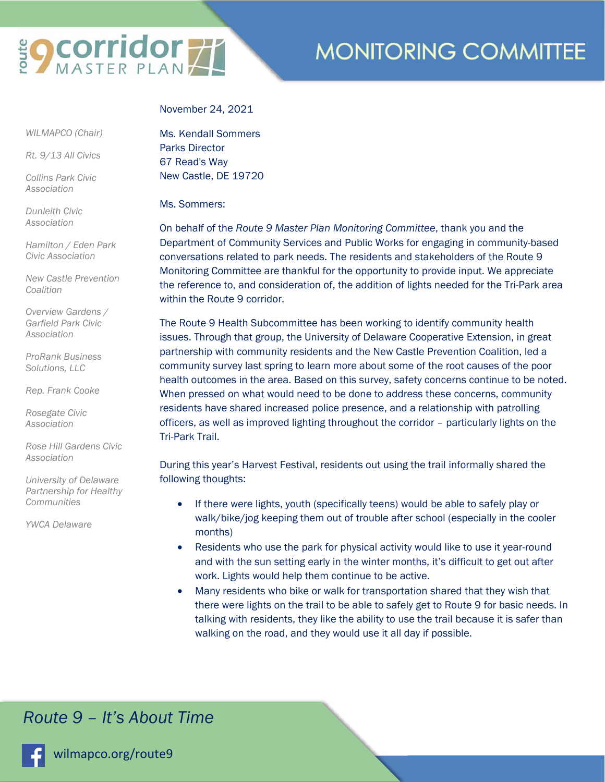

# **MONITORING COMMITTEE**

#### November 24, 2021

 *WILMAPCO (Chair)* 

*Rt. 9/13 All Civics* 

*Collins Park Civic Association* 

*Dunleith Civic Association* 

*Hamilton / Eden Park Civic Association* 

*New Castle Prevention Coalition* 

*Overview Gardens / Garfield Park Civic Association* 

*ProRank Business Solutions, LLC* 

*Rep. Frank Cooke* 

*Rosegate Civic Association* 

*Rose Hill Gardens Civic Association* 

*University of Delaware Partnership for Healthy Communities* 

*YWCA Delaware* 

Ms. Kendall Sommers Parks Director 67 Read's Way New Castle, DE 19720

Ms. Sommers:

On behalf of the *Route 9 Master Plan Monitoring Committee*, thank you and the Department of Community Services and Public Works for engaging in community-based conversations related to park needs. The residents and stakeholders of the Route 9 Monitoring Committee are thankful for the opportunity to provide input. We appreciate the reference to, and consideration of, the addition of lights needed for the Tri-Park area within the Route 9 corridor.

The Route 9 Health Subcommittee has been working to identify community health issues. Through that group, the University of Delaware Cooperative Extension, in great partnership with community residents and the New Castle Prevention Coalition, led a community survey last spring to learn more about some of the root causes of the poor health outcomes in the area. Based on this survey, safety concerns continue to be noted. When pressed on what would need to be done to address these concerns, community residents have shared increased police presence, and a relationship with patrolling officers, as well as improved lighting throughout the corridor – particularly lights on the Tri-Park Trail.

During this year's Harvest Festival, residents out using the trail informally shared the following thoughts:

- If there were lights, youth (specifically teens) would be able to safely play or walk/bike/jog keeping them out of trouble after school (especially in the cooler months)
- Residents who use the park for physical activity would like to use it year-round and with the sun setting early in the winter months, it's difficult to get out after work. Lights would help them continue to be active.
- Many residents who bike or walk for transportation shared that they wish that there were lights on the trail to be able to safely get to Route 9 for basic needs. In talking with residents, they like the ability to use the trail because it is safer than walking on the road, and they would use it all day if possible.

### *Route 9 – It's About Time*

wilmapco.org/route9